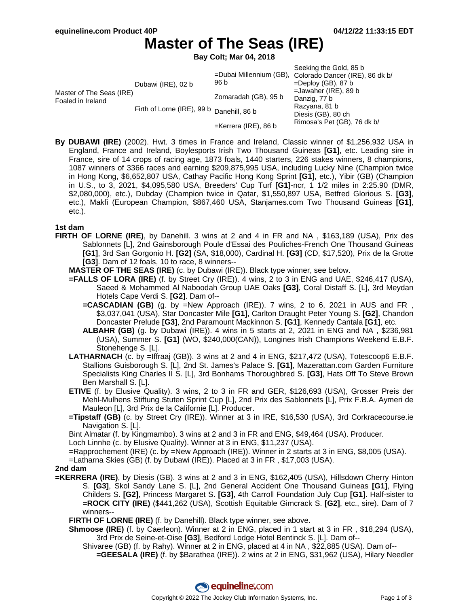# **Master of The Seas (IRE)**

**Bay Colt; Mar 04, 2018**

|                                               | Dubawi (IRE), 02 b                        | 96 b                    | Seeking the Gold, 85 b<br>=Dubai Millennium (GB), Colorado Dancer (IRE), 86 dk b/<br>$=$ Deploy (GB), 87 b    |
|-----------------------------------------------|-------------------------------------------|-------------------------|---------------------------------------------------------------------------------------------------------------|
| Master of The Seas (IRE)<br>Foaled in Ireland | Firth of Lorne (IRE), 99 b Danehill, 86 b | Zomaradah (GB), 95 b    | $=$ Jawaher (IRE), 89 b<br>Danzig, 77 b<br>Razyana, 81 b<br>Diesis (GB), 80 ch<br>Rimosa's Pet (GB), 76 dk b/ |
|                                               |                                           |                         |                                                                                                               |
|                                               |                                           | $=$ Kerrera (IRE), 86 b |                                                                                                               |

**By DUBAWI (IRE)** (2002). Hwt. 3 times in France and Ireland, Classic winner of \$1,256,932 USA in England, France and Ireland, Boylesports Irish Two Thousand Guineas **[G1]**, etc. Leading sire in France, sire of 14 crops of racing age, 1873 foals, 1440 starters, 226 stakes winners, 8 champions, 1087 winners of 3366 races and earning \$209,875,995 USA, including Lucky Nine (Champion twice in Hong Kong, \$6,652,807 USA, Cathay Pacific Hong Kong Sprint **[G1]**, etc.), Yibir (GB) (Champion in U.S., to 3, 2021, \$4,095,580 USA, Breeders' Cup Turf **[G1]**-ncr, 1 1/2 miles in 2:25.90 (DMR, \$2,080,000), etc.), Dubday (Champion twice in Qatar, \$1,550,897 USA, Betfred Glorious S. **[G3]**, etc.), Makfi (European Champion, \$867,460 USA, Stanjames.com Two Thousand Guineas **[G1]**, etc.).

#### **1st dam**

- **FIRTH OF LORNE (IRE)**, by Danehill. 3 wins at 2 and 4 in FR and NA , \$163,189 (USA), Prix des Sablonnets [L], 2nd Gainsborough Poule d'Essai des Pouliches-French One Thousand Guineas **[G1]**, 3rd San Gorgonio H. **[G2]** (SA, \$18,000), Cardinal H. **[G3]** (CD, \$17,520), Prix de la Grotte **[G3]**. Dam of 12 foals, 10 to race, 8 winners--
	- **MASTER OF THE SEAS (IRE)** (c. by Dubawi (IRE)). Black type winner, see below.
	- **=FALLS OF LORA (IRE)** (f. by Street Cry (IRE)). 4 wins, 2 to 3 in ENG and UAE, \$246,417 (USA), Saeed & Mohammed Al Naboodah Group UAE Oaks **[G3]**, Coral Distaff S. [L], 3rd Meydan Hotels Cape Verdi S. **[G2]**. Dam of--
		- **=CASCADIAN (GB)** (g. by =New Approach (IRE)). 7 wins, 2 to 6, 2021 in AUS and FR, \$3,037,041 (USA), Star Doncaster Mile **[G1]**, Carlton Draught Peter Young S. **[G2]**, Chandon Doncaster Prelude **[G3]**, 2nd Paramount Mackinnon S. **[G1]**, Kennedy Cantala **[G1]**, etc.
		- **ALBAHR (GB)** (g. by Dubawi (IRE)). 4 wins in 5 starts at 2, 2021 in ENG and NA , \$236,981 (USA), Summer S. **[G1]** (WO, \$240,000(CAN)), Longines Irish Champions Weekend E.B.F. Stonehenge S. [L].
	- **LATHARNACH** (c. by =Iffraaj (GB)). 3 wins at 2 and 4 in ENG, \$217,472 (USA), Totescoop6 E.B.F. Stallions Guisborough S. [L], 2nd St. James's Palace S. **[G1]**, Mazerattan.com Garden Furniture Specialists King Charles II S. [L], 3rd Bonhams Thoroughbred S. **[G3]**, Hats Off To Steve Brown Ben Marshall S. [L].
	- **ETIVE** (f. by Elusive Quality). 3 wins, 2 to 3 in FR and GER, \$126,693 (USA), Grosser Preis der Mehl-Mulhens Stiftung Stuten Sprint Cup [L], 2nd Prix des Sablonnets [L], Prix F.B.A. Aymeri de Mauleon [L], 3rd Prix de la Californie [L]. Producer.
	- **=Tipstaff (GB)** (c. by Street Cry (IRE)). Winner at 3 in IRE, \$16,530 (USA), 3rd Corkracecourse.ie Navigation S. [L].

Bint Almatar (f. by Kingmambo). 3 wins at 2 and 3 in FR and ENG, \$49,464 (USA). Producer.

Loch Linnhe (c. by Elusive Quality). Winner at 3 in ENG, \$11,237 (USA).

=Rapprochement (IRE) (c. by =New Approach (IRE)). Winner in 2 starts at 3 in ENG, \$8,005 (USA).

=Latharna Skies (GB) (f. by Dubawi (IRE)). Placed at 3 in FR , \$17,003 (USA).

#### **2nd dam**

**=KERRERA (IRE)**, by Diesis (GB). 3 wins at 2 and 3 in ENG, \$162,405 (USA), Hillsdown Cherry Hinton S. **[G3]**, Skol Sandy Lane S. [L], 2nd General Accident One Thousand Guineas **[G1]**, Flying Childers S. **[G2]**, Princess Margaret S. **[G3]**, 4th Carroll Foundation July Cup **[G1]**. Half-sister to **=ROCK CITY (IRE)** (\$441,262 (USA), Scottish Equitable Gimcrack S. **[G2]**, etc., sire). Dam of 7 winners--

**FIRTH OF LORNE (IRE)** (f. by Danehill). Black type winner, see above.

- **Shmoose (IRE)** (f. by Caerleon). Winner at 2 in ENG, placed in 1 start at 3 in FR , \$18,294 (USA), 3rd Prix de Seine-et-Oise **[G3]**, Bedford Lodge Hotel Bentinck S. [L]. Dam of--
	- Shivaree (GB) (f. by Rahy). Winner at 2 in ENG, placed at 4 in NA , \$22,885 (USA). Dam of-- **=GEESALA (IRE)** (f. by \$Barathea (IRE)). 2 wins at 2 in ENG, \$31,962 (USA), Hilary Needler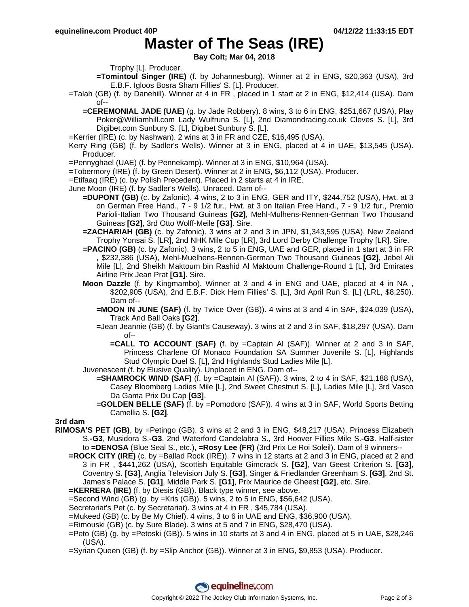### **Master of The Seas (IRE)**

**Bay Colt; Mar 04, 2018**

Trophy [L]. Producer.

- **=Tomintoul Singer (IRE)** (f. by Johannesburg). Winner at 2 in ENG, \$20,363 (USA), 3rd E.B.F. Igloos Bosra Sham Fillies' S. [L]. Producer.
- =Talah (GB) (f. by Danehill). Winner at 4 in FR , placed in 1 start at 2 in ENG, \$12,414 (USA). Dam of--
	- **=CEREMONIAL JADE (UAE)** (g. by Jade Robbery). 8 wins, 3 to 6 in ENG, \$251,667 (USA), Play Poker@Williamhill.com Lady Wulfruna S. [L], 2nd Diamondracing.co.uk Cleves S. [L], 3rd Digibet.com Sunbury S. [L], Digibet Sunbury S. [L].
- =Kerrier (IRE) (c. by Nashwan). 2 wins at 3 in FR and CZE, \$16,495 (USA).
- Kerry Ring (GB) (f. by Sadler's Wells). Winner at 3 in ENG, placed at 4 in UAE, \$13,545 (USA). Producer.
- =Pennyghael (UAE) (f. by Pennekamp). Winner at 3 in ENG, \$10,964 (USA).
- =Tobermory (IRE) (f. by Green Desert). Winner at 2 in ENG, \$6,112 (USA). Producer.
- =Etifaaq (IRE) (c. by Polish Precedent). Placed in 2 starts at 4 in IRE.
- June Moon (IRE) (f. by Sadler's Wells). Unraced. Dam of--
	- **=DUPONT (GB)** (c. by Zafonic). 4 wins, 2 to 3 in ENG, GER and ITY, \$244,752 (USA), Hwt. at 3 on German Free Hand., 7 - 9 1/2 fur., Hwt. at 3 on Italian Free Hand., 7 - 9 1/2 fur., Premio Parioli-Italian Two Thousand Guineas **[G2]**, Mehl-Mulhens-Rennen-German Two Thousand Guineas **[G2]**, 3rd Otto Wolff-Meile **[G3]**. Sire.
	- **=ZACHARIAH (GB)** (c. by Zafonic). 3 wins at 2 and 3 in JPN, \$1,343,595 (USA), New Zealand Trophy Yonsai S. [LR], 2nd NHK Mile Cup [LR], 3rd Lord Derby Challenge Trophy [LR]. Sire.
	- **=PACINO (GB)** (c. by Zafonic). 3 wins, 2 to 5 in ENG, UAE and GER, placed in 1 start at 3 in FR , \$232,386 (USA), Mehl-Muelhens-Rennen-German Two Thousand Guineas **[G2]**, Jebel Ali Mile [L], 2nd Sheikh Maktoum bin Rashid Al Maktoum Challenge-Round 1 [L], 3rd Emirates Airline Prix Jean Prat **[G1]**. Sire.
	- **Moon Dazzle** (f. by Kingmambo). Winner at 3 and 4 in ENG and UAE, placed at 4 in NA , \$202,905 (USA), 2nd E.B.F. Dick Hern Fillies' S. [L], 3rd April Run S. [L] (LRL, \$8,250). Dam of--
		- **=MOON IN JUNE (SAF)** (f. by Twice Over (GB)). 4 wins at 3 and 4 in SAF, \$24,039 (USA), Track And Ball Oaks **[G2]**.
		- =Jean Jeannie (GB) (f. by Giant's Causeway). 3 wins at 2 and 3 in SAF, \$18,297 (USA). Dam of--
			- **=CALL TO ACCOUNT (SAF)** (f. by =Captain Al (SAF)). Winner at 2 and 3 in SAF, Princess Charlene Of Monaco Foundation SA Summer Juvenile S. [L], Highlands Stud Olympic Duel S. [L], 2nd Highlands Stud Ladies Mile [L].
	- Juvenescent (f. by Elusive Quality). Unplaced in ENG. Dam of--
		- **=SHAMROCK WIND (SAF)** (f. by =Captain AI (SAF)). 3 wins, 2 to 4 in SAF, \$21,188 (USA), Casey Bloomberg Ladies Mile [L], 2nd Sweet Chestnut S. [L], Ladies Mile [L], 3rd Vasco Da Gama Prix Du Cap **[G3]**.
		- **=GOLDEN BELLE (SAF)** (f. by =Pomodoro (SAF)). 4 wins at 3 in SAF, World Sports Betting Camellia S. **[G2]**.

**3rd dam**

- **RIMOSA'S PET (GB)**, by =Petingo (GB). 3 wins at 2 and 3 in ENG, \$48,217 (USA), Princess Elizabeth S.**-G3**, Musidora S.**-G3**, 2nd Waterford Candelabra S., 3rd Hoover Fillies Mile S.**-G3**. Half-sister to **=DENOSA** (Blue Seal S., etc.), **=Rosy Lee (FR)** (3rd Prix Le Roi Soleil). Dam of 9 winners--
	- **=ROCK CITY (IRE)** (c. by =Ballad Rock (IRE)). 7 wins in 12 starts at 2 and 3 in ENG, placed at 2 and 3 in FR , \$441,262 (USA), Scottish Equitable Gimcrack S. **[G2]**, Van Geest Criterion S. **[G3]**, Coventry S. **[G3]**, Anglia Television July S. **[G3]**, Singer & Friedlander Greenham S. **[G3]**, 2nd St. James's Palace S. **[G1]**, Middle Park S. **[G1]**, Prix Maurice de Gheest **[G2]**, etc. Sire.
	- **=KERRERA (IRE)** (f. by Diesis (GB)). Black type winner, see above.
	- $=$ Second Wind (GB) (g. by  $=$ Kris (GB)). 5 wins, 2 to 5 in ENG, \$56,642 (USA).
	- Secretariat's Pet (c. by Secretariat). 3 wins at 4 in FR , \$45,784 (USA).
	- =Mukeed (GB) (c. by Be My Chief). 4 wins, 3 to 6 in UAE and ENG, \$36,900 (USA).
	- =Rimouski (GB) (c. by Sure Blade). 3 wins at 5 and 7 in ENG, \$28,470 (USA).
	- =Peto (GB) (g. by =Petoski (GB)). 5 wins in 10 starts at 3 and 4 in ENG, placed at 5 in UAE, \$28,246 (USA).
	- =Syrian Queen (GB) (f. by =Slip Anchor (GB)). Winner at 3 in ENG, \$9,853 (USA). Producer.